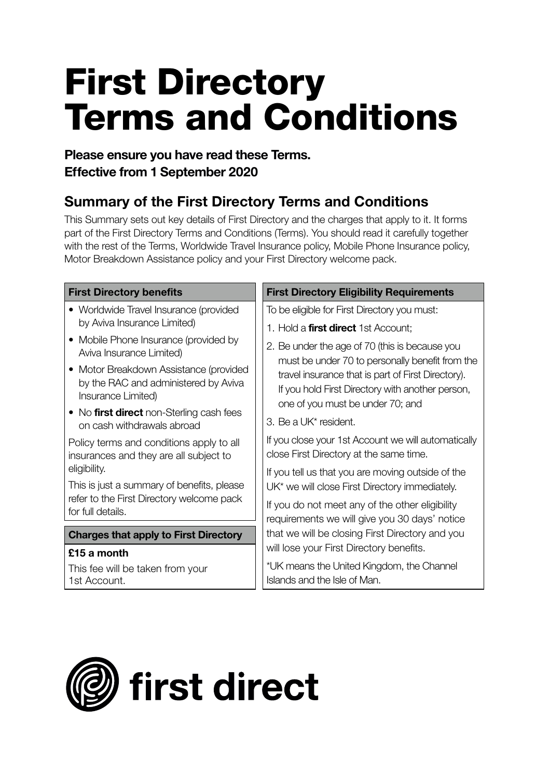# **First Directory Terms and Conditions**

## **Please ensure you have read these Terms. Effective from 1 September 2020**

## **Summary of the First Directory Terms and Conditions**

This Summary sets out key details of First Directory and the charges that apply to it. It forms part of the First Directory Terms and Conditions (Terms). You should read it carefully together with the rest of the Terms, Worldwide Travel Insurance policy, Mobile Phone Insurance policy, Motor Breakdown Assistance policy and your First Directory welcome pack.

#### **First Directory benefits**

- Worldwide Travel Insurance (provided by Aviva Insurance Limited)
- Mobile Phone Insurance (provided by Aviva Insurance Limited)
- Motor Breakdown Assistance (provided by the RAC and administered by Aviva Insurance Limited)
- No **first direct** non-Sterling cash fees on cash withdrawals abroad

Policy terms and conditions apply to all insurances and they are all subject to eligibility.

This is just a summary of benefits, please refer to the First Directory welcome pack for full details.

#### **Charges that apply to First Directory**

#### **£15 a month**

This fee will be taken from your 1st Account.

#### **First Directory Eligibility Requirements**

To be eligible for First Directory you must:

- 1. Hold a **first direct** 1st Account;
- 2. Be under the age of 70 (this is because you must be under 70 to personally benefit from the travel insurance that is part of First Directory). If you hold First Directory with another person, one of you must be under 70; and
- 3. Be a UK\* resident.

If you close your 1st Account we will automatically close First Directory at the same time.

If you tell us that you are moving outside of the UK\* we will close First Directory immediately.

If you do not meet any of the other eligibility requirements we will give you 30 days' notice that we will be closing First Directory and you will lose your First Directory benefits.

\*UK means the United Kingdom, the Channel Islands and the Isle of Man.

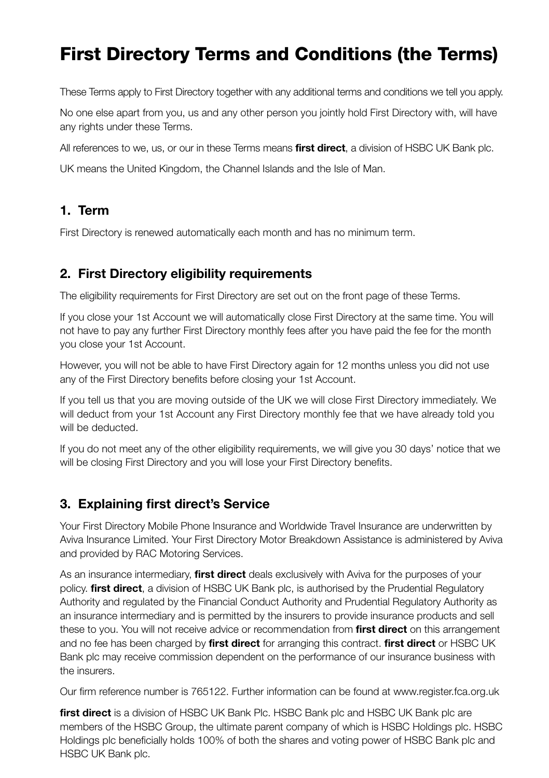## **First Directory Terms and Conditions (the Terms)**

These Terms apply to First Directory together with any additional terms and conditions we tell you apply.

No one else apart from you, us and any other person you jointly hold First Directory with, will have any rights under these Terms.

All references to we, us, or our in these Terms means **first direct**, a division of HSBC UK Bank plc.

UK means the United Kingdom, the Channel Islands and the Isle of Man.

## **1. Term**

First Directory is renewed automatically each month and has no minimum term.

## **2. First Directory eligibility requirements**

The eligibility requirements for First Directory are set out on the front page of these Terms.

If you close your 1st Account we will automatically close First Directory at the same time. You will not have to pay any further First Directory monthly fees after you have paid the fee for the month you close your 1st Account.

However, you will not be able to have First Directory again for 12 months unless you did not use any of the First Directory benefits before closing your 1st Account.

If you tell us that you are moving outside of the UK we will close First Directory immediately. We will deduct from your 1st Account any First Directory monthly fee that we have already told you will be deducted.

If you do not meet any of the other eligibility requirements, we will give you 30 days' notice that we will be closing First Directory and you will lose your First Directory benefits.

## **3. Explaining first direct's Service**

Your First Directory Mobile Phone Insurance and Worldwide Travel Insurance are underwritten by Aviva Insurance Limited. Your First Directory Motor Breakdown Assistance is administered by Aviva and provided by RAC Motoring Services.

As an insurance intermediary, **first direct** deals exclusively with Aviva for the purposes of your policy. **first direct**, a division of HSBC UK Bank plc, is authorised by the Prudential Regulatory Authority and regulated by the Financial Conduct Authority and Prudential Regulatory Authority as an insurance intermediary and is permitted by the insurers to provide insurance products and sell these to you. You will not receive advice or recommendation from **first direct** on this arrangement and no fee has been charged by **first direct** for arranging this contract. **first direct** or HSBC UK Bank plc may receive commission dependent on the performance of our insurance business with the insurers.

Our firm reference number is 765122. Further information can be found at www.register.fca.org.uk

**first direct** is a division of HSBC UK Bank Plc. HSBC Bank plc and HSBC UK Bank plc are members of the HSBC Group, the ultimate parent company of which is HSBC Holdings plc. HSBC Holdings plc beneficially holds 100% of both the shares and voting power of HSBC Bank plc and HSBC UK Bank plc.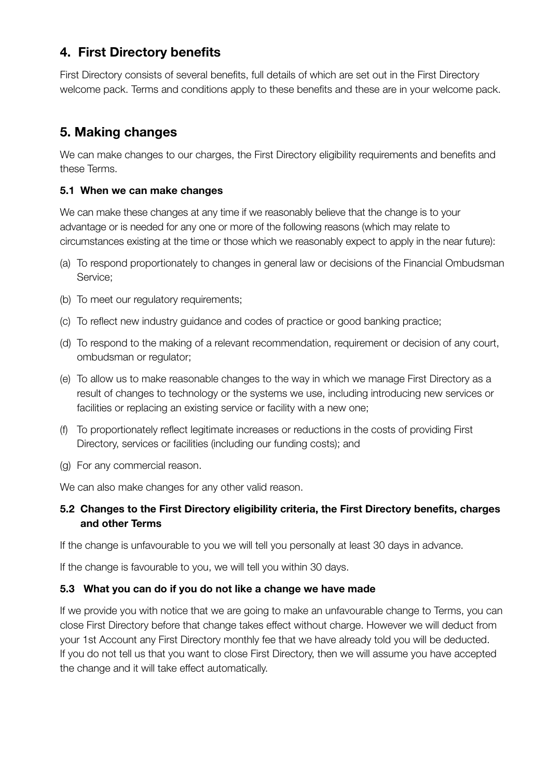## **4. First Directory benefits**

First Directory consists of several benefits, full details of which are set out in the First Directory welcome pack. Terms and conditions apply to these benefits and these are in your welcome pack.

## **5. Making changes**

We can make changes to our charges, the First Directory eligibility requirements and benefits and these Terms.

#### **5.1 When we can make changes**

We can make these changes at any time if we reasonably believe that the change is to your advantage or is needed for any one or more of the following reasons (which may relate to circumstances existing at the time or those which we reasonably expect to apply in the near future):

- (a) To respond proportionately to changes in general law or decisions of the Financial Ombudsman Service;
- (b) To meet our regulatory requirements;
- (c) To reflect new industry guidance and codes of practice or good banking practice;
- (d) To respond to the making of a relevant recommendation, requirement or decision of any court, ombudsman or regulator;
- (e) To allow us to make reasonable changes to the way in which we manage First Directory as a result of changes to technology or the systems we use, including introducing new services or facilities or replacing an existing service or facility with a new one;
- (f) To proportionately reflect legitimate increases or reductions in the costs of providing First Directory, services or facilities (including our funding costs); and
- (g) For any commercial reason.

We can also make changes for any other valid reason.

#### **5.2 Changes to the First Directory eligibility criteria, the First Directory benefits, charges and other Terms**

If the change is unfavourable to you we will tell you personally at least 30 days in advance.

If the change is favourable to you, we will tell you within 30 days.

#### **5.3 What you can do if you do not like a change we have made**

If we provide you with notice that we are going to make an unfavourable change to Terms, you can close First Directory before that change takes effect without charge. However we will deduct from your 1st Account any First Directory monthly fee that we have already told you will be deducted. If you do not tell us that you want to close First Directory, then we will assume you have accepted the change and it will take effect automatically.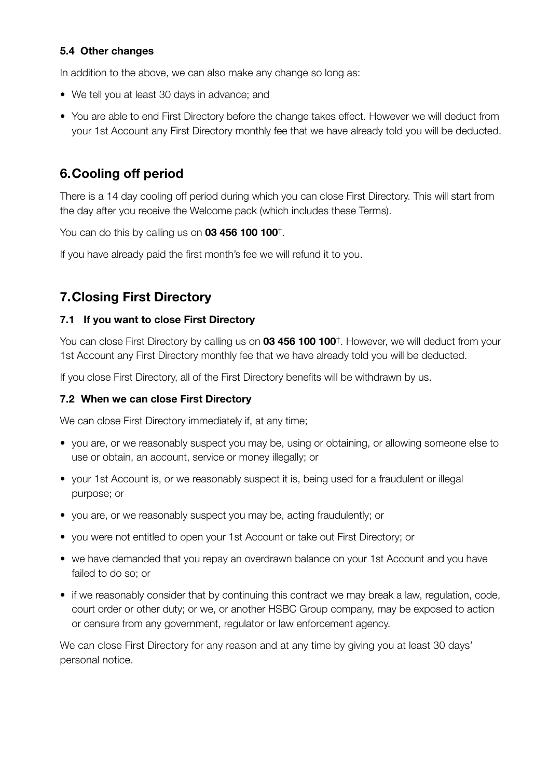#### **5.4 Other changes**

In addition to the above, we can also make any change so long as:

- We tell you at least 30 days in advance; and
- You are able to end First Directory before the change takes effect. However we will deduct from your 1st Account any First Directory monthly fee that we have already told you will be deducted.

## **6. Cooling off period**

There is a 14 day cooling off period during which you can close First Directory. This will start from the day after you receive the Welcome pack (which includes these Terms).

You can do this by calling us on **03 456 100 100**†.

If you have already paid the first month's fee we will refund it to you.

## **7. Closing First Directory**

#### **7.1 If you want to close First Directory**

You can close First Directory by calling us on **03 456 100 100**†. However, we will deduct from your 1st Account any First Directory monthly fee that we have already told you will be deducted.

If you close First Directory, all of the First Directory benefits will be withdrawn by us.

#### **7.2 When we can close First Directory**

We can close First Directory immediately if, at any time;

- you are, or we reasonably suspect you may be, using or obtaining, or allowing someone else to use or obtain, an account, service or money illegally; or
- your 1st Account is, or we reasonably suspect it is, being used for a fraudulent or illegal purpose; or
- you are, or we reasonably suspect you may be, acting fraudulently; or
- you were not entitled to open your 1st Account or take out First Directory; or
- we have demanded that you repay an overdrawn balance on your 1st Account and you have failed to do so; or
- if we reasonably consider that by continuing this contract we may break a law, regulation, code, court order or other duty; or we, or another HSBC Group company, may be exposed to action or censure from any government, regulator or law enforcement agency.

We can close First Directory for any reason and at any time by giving you at least 30 days' personal notice.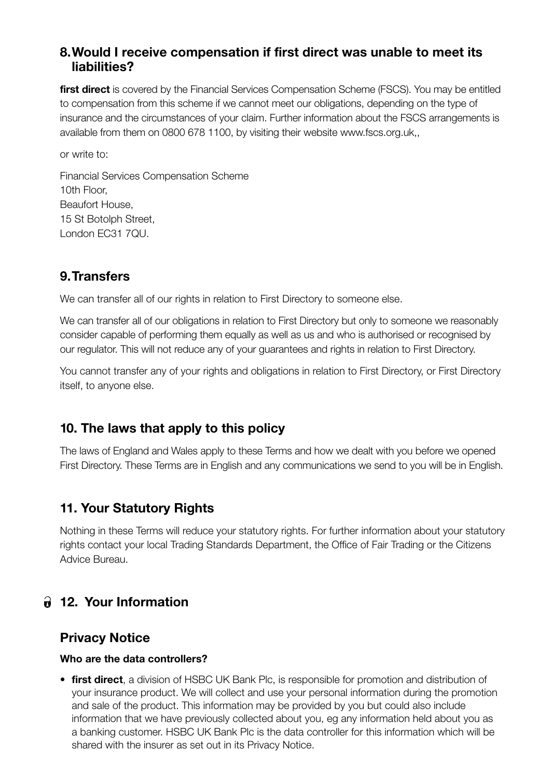### **8. Would I receive compensation if first direct was unable to meet its liabilities?**

**first direct** is covered by the Financial Services Compensation Scheme (FSCS). You may be entitled to compensation from this scheme if we cannot meet our obligations, depending on the type of insurance and the circumstances of your claim. Further information about the FSCS arrangements is available from them on 0800 678 1100, by visiting their website www.fscs.org.uk,,

or write to:

Financial Services Compensation Scheme 10th Floor, Beaufort House, 15 St Botolph Street. London EC31 7QU.

## **9. Transfers**

We can transfer all of our rights in relation to First Directory to someone else.

We can transfer all of our obligations in relation to First Directory but only to someone we reasonably consider capable of performing them equally as well as us and who is authorised or recognised by our regulator. This will not reduce any of your guarantees and rights in relation to First Directory.

You cannot transfer any of your rights and obligations in relation to First Directory, or First Directory itself, to anyone else.

## **10. The laws that apply to this policy**

The laws of England and Wales apply to these Terms and how we dealt with you before we opened First Directory. These Terms are in English and any communications we send to you will be in English.

## **11. Your Statutory Rights**

Nothing in these Terms will reduce your statutory rights. For further information about your statutory rights contact your local Trading Standards Department, the Office of Fair Trading or the Citizens Advice Bureau.

## **12. Your Information**

## **Privacy Notice**

#### **Who are the data controllers?**

• **first direct**, a division of HSBC UK Bank Plc, is responsible for promotion and distribution of your insurance product. We will collect and use your personal information during the promotion and sale of the product. This information may be provided by you but could also include information that we have previously collected about you, eg any information held about you as a banking customer. HSBC UK Bank Plc is the data controller for this information which will be shared with the insurer as set out in its Privacy Notice.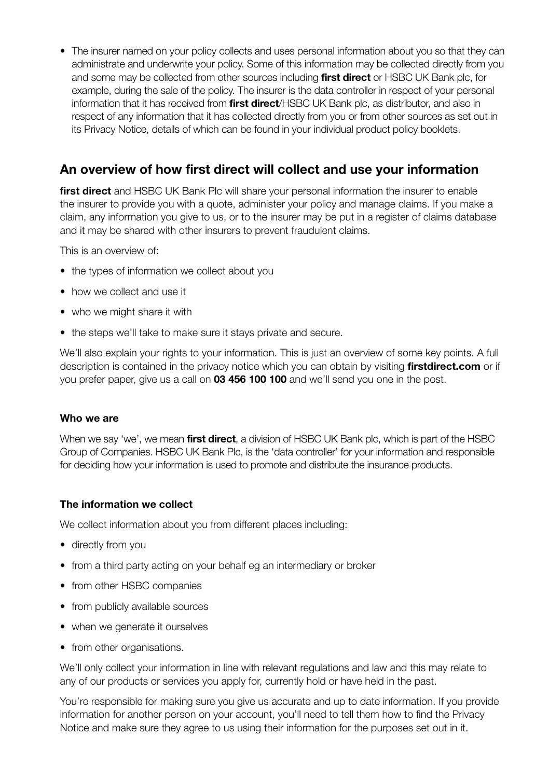• The insurer named on your policy collects and uses personal information about you so that they can administrate and underwrite your policy. Some of this information may be collected directly from you and some may be collected from other sources including **first direct** or HSBC UK Bank plc, for example, during the sale of the policy. The insurer is the data controller in respect of your personal information that it has received from **first direct**/HSBC UK Bank plc, as distributor, and also in respect of any information that it has collected directly from you or from other sources as set out in its Privacy Notice, details of which can be found in your individual product policy booklets.

## **An overview of how first direct will collect and use your information**

**first direct** and HSBC UK Bank Plc will share your personal information the insurer to enable the insurer to provide you with a quote, administer your policy and manage claims. If you make a claim, any information you give to us, or to the insurer may be put in a register of claims database and it may be shared with other insurers to prevent fraudulent claims.

This is an overview of:

- the types of information we collect about you
- how we collect and use it
- who we might share it with
- the steps we'll take to make sure it stays private and secure.

We'll also explain your rights to your information. This is just an overview of some key points. A full description is contained in the privacy notice which you can obtain by visiting **firstdirect.com** or if you prefer paper, give us a call on **03 456 100 100** and we'll send you one in the post.

#### **Who we are**

When we say 'we', we mean **first direct**, a division of HSBC UK Bank plc, which is part of the HSBC Group of Companies. HSBC UK Bank Plc, is the 'data controller' for your information and responsible for deciding how your information is used to promote and distribute the insurance products.

#### **The information we collect**

We collect information about you from different places including:

- directly from you
- from a third party acting on your behalf eg an intermediary or broker
- from other HSBC companies
- from publicly available sources
- when we generate it ourselves
- from other organisations.

We'll only collect your information in line with relevant regulations and law and this may relate to any of our products or services you apply for, currently hold or have held in the past.

You're responsible for making sure you give us accurate and up to date information. If you provide information for another person on your account, you'll need to tell them how to find the Privacy Notice and make sure they agree to us using their information for the purposes set out in it.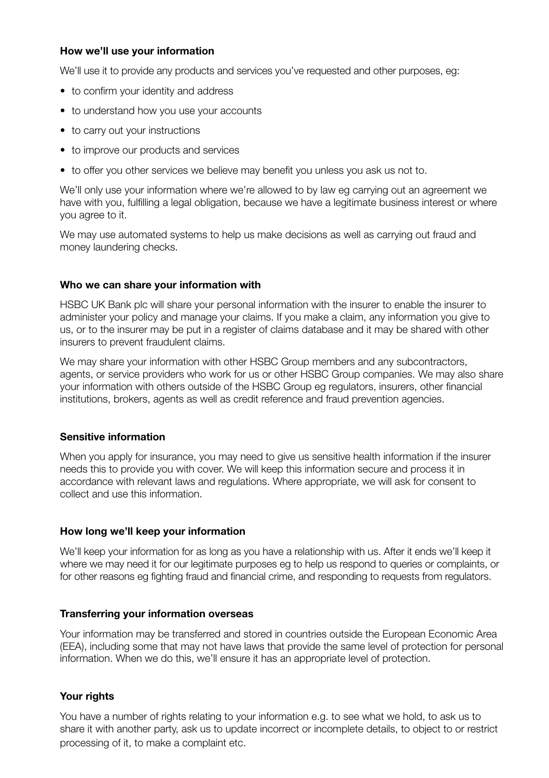#### **How we'll use your information**

We'll use it to provide any products and services you've requested and other purposes, eg:

- to confirm your identity and address
- to understand how you use your accounts
- to carry out your instructions
- to improve our products and services
- to offer you other services we believe may benefit you unless you ask us not to.

We'll only use your information where we're allowed to by law eg carrying out an agreement we have with you, fulfilling a legal obligation, because we have a legitimate business interest or where you agree to it.

We may use automated systems to help us make decisions as well as carrying out fraud and money laundering checks.

#### **Who we can share your information with**

HSBC UK Bank plc will share your personal information with the insurer to enable the insurer to administer your policy and manage your claims. If you make a claim, any information you give to us, or to the insurer may be put in a register of claims database and it may be shared with other insurers to prevent fraudulent claims.

We may share your information with other HSBC Group members and any subcontractors, agents, or service providers who work for us or other HSBC Group companies. We may also share your information with others outside of the HSBC Group eg regulators, insurers, other financial institutions, brokers, agents as well as credit reference and fraud prevention agencies.

#### **Sensitive information**

When you apply for insurance, you may need to give us sensitive health information if the insurer needs this to provide you with cover. We will keep this information secure and process it in accordance with relevant laws and regulations. Where appropriate, we will ask for consent to collect and use this information.

#### **How long we'll keep your information**

We'll keep your information for as long as you have a relationship with us. After it ends we'll keep it where we may need it for our legitimate purposes eg to help us respond to queries or complaints, or for other reasons eg fighting fraud and financial crime, and responding to requests from regulators.

#### **Transferring your information overseas**

Your information may be transferred and stored in countries outside the European Economic Area (EEA), including some that may not have laws that provide the same level of protection for personal information. When we do this, we'll ensure it has an appropriate level of protection.

#### **Your rights**

You have a number of rights relating to your information e.g. to see what we hold, to ask us to share it with another party, ask us to update incorrect or incomplete details, to object to or restrict processing of it, to make a complaint etc.